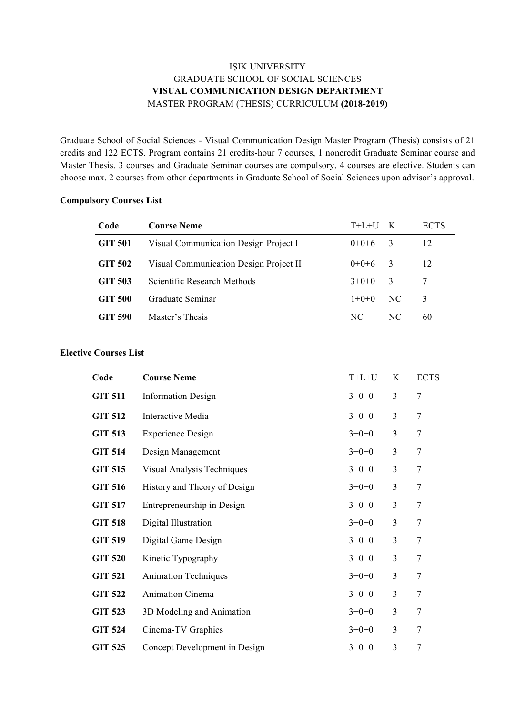### IŞIK UNIVERSITY GRADUATE SCHOOL OF SOCIAL SCIENCES **VISUAL COMMUNICATION DESIGN DEPARTMENT** MASTER PROGRAM (THESIS) CURRICULUM **(2018-2019)**

Graduate School of Social Sciences - Visual Communication Design Master Program (Thesis) consists of 21 credits and 122 ECTS. Program contains 21 credits-hour 7 courses, 1 noncredit Graduate Seminar course and Master Thesis. 3 courses and Graduate Seminar courses are compulsory, 4 courses are elective. Students can choose max. 2 courses from other departments in Graduate School of Social Sciences upon advisor's approval.

| Code           | <b>Course Neme</b>                     | $T+L+U$ K |                         | <b>ECTS</b> |
|----------------|----------------------------------------|-----------|-------------------------|-------------|
| GIT 501        | Visual Communication Design Project I  | $0+0+6$   | $\overline{3}$          | 12          |
| <b>GIT 502</b> | Visual Communication Design Project II | $0+0+6$   | $\overline{3}$          | 12          |
| GIT 503        | Scientific Research Methods            | $3+0+0$   | $\overline{\mathbf{3}}$ | 7           |
| GIT 500        | Graduate Seminar                       | $1+0+0$   | NC.                     | 3           |
| GIT 590        | Master's Thesis                        | NC.       | NC.                     | 60          |

#### **Compulsory Courses List**

#### **Elective Courses List**

| Code           | <b>Course Neme</b>            | $T+L+U$ | K | <b>ECTS</b>    |
|----------------|-------------------------------|---------|---|----------------|
| <b>GIT 511</b> | <b>Information Design</b>     | $3+0+0$ | 3 | $\overline{7}$ |
| <b>GIT 512</b> | Interactive Media             | $3+0+0$ | 3 | $\overline{7}$ |
| <b>GIT 513</b> | <b>Experience Design</b>      | $3+0+0$ | 3 | $\overline{7}$ |
| <b>GIT 514</b> | Design Management             | $3+0+0$ | 3 | $\overline{7}$ |
| <b>GIT 515</b> | Visual Analysis Techniques    | $3+0+0$ | 3 | $\overline{7}$ |
| <b>GIT 516</b> | History and Theory of Design  | $3+0+0$ | 3 | $\overline{7}$ |
| <b>GIT 517</b> | Entrepreneurship in Design    | $3+0+0$ | 3 | $\overline{7}$ |
| <b>GIT 518</b> | Digital Illustration          | $3+0+0$ | 3 | 7              |
| <b>GIT 519</b> | Digital Game Design           | $3+0+0$ | 3 | $\overline{7}$ |
| <b>GIT 520</b> | Kinetic Typography            | $3+0+0$ | 3 | $\overline{7}$ |
| <b>GIT 521</b> | <b>Animation Techniques</b>   | $3+0+0$ | 3 | $\tau$         |
| <b>GIT 522</b> | <b>Animation Cinema</b>       | $3+0+0$ | 3 | $\overline{7}$ |
| <b>GIT 523</b> | 3D Modeling and Animation     | $3+0+0$ | 3 | $\overline{7}$ |
| <b>GIT 524</b> | Cinema-TV Graphics            | $3+0+0$ | 3 | $\overline{7}$ |
| <b>GIT 525</b> | Concept Development in Design | $3+0+0$ | 3 | $\overline{7}$ |